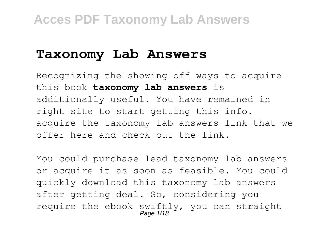### **Taxonomy Lab Answers**

Recognizing the showing off ways to acquire this book **taxonomy lab answers** is additionally useful. You have remained in right site to start getting this info. acquire the taxonomy lab answers link that we offer here and check out the link.

You could purchase lead taxonomy lab answers or acquire it as soon as feasible. You could quickly download this taxonomy lab answers after getting deal. So, considering you require the ebook swiftly, you can straight Page 1/18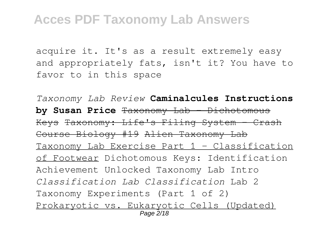acquire it. It's as a result extremely easy and appropriately fats, isn't it? You have to favor to in this space

*Taxonomy Lab Review* **Caminalcules Instructions by Susan Price** Taxonomy Lab - Dichotomous Keys Taxonomy: Life's Filing System - Crash Course Biology #19 Alien Taxonomy Lab Taxonomy Lab Exercise Part 1 - Classification of Footwear Dichotomous Keys: Identification Achievement Unlocked Taxonomy Lab Intro *Classification Lab Classification* Lab 2 Taxonomy Experiments (Part 1 of 2) Prokaryotic vs. Eukaryotic Cells (Updated) Page 2/18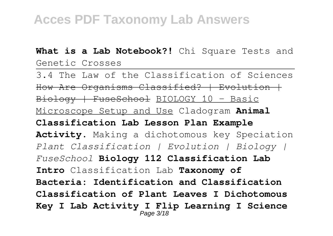**What is a Lab Notebook?!** Chi Square Tests and Genetic Crosses

3.4 The Law of the Classification of Sciences How Are Organisms Classified? | Evolution | Biology | FuseSchool BIOLOGY 10 - Basic Microscope Setup and Use Cladogram **Animal Classification Lab Lesson Plan Example Activity.** Making a dichotomous key Speciation *Plant Classification | Evolution | Biology | FuseSchool* **Biology 112 Classification Lab Intro** Classification Lab **Taxonomy of Bacteria: Identification and Classification Classification of Plant Leaves I Dichotomous Key I Lab Activity I Flip Learning I Science** Page 3/18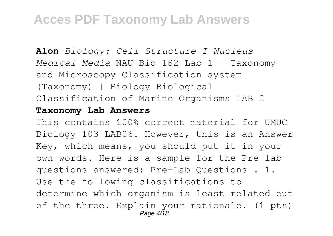**Alon** *Biology: Cell Structure I Nucleus Medical Media* NAU Bio 182 Lab 1 - Taxonomy and Microscopy Classification system (Taxonomy) | Biology Biological Classification of Marine Organisms LAB 2

#### **Taxonomy Lab Answers**

This contains 100% correct material for UMUC Biology 103 LAB06. However, this is an Answer Key, which means, you should put it in your own words. Here is a sample for the Pre lab questions answered: Pre-Lab Questions . 1. Use the following classifications to determine which organism is least related out of the three. Explain your rationale. (1 pts) Page 4/18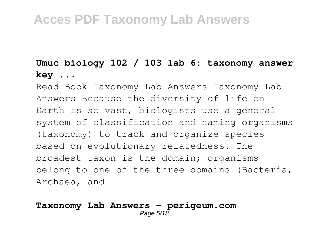#### **Umuc biology 102 / 103 lab 6: taxonomy answer key ...**

Read Book Taxonomy Lab Answers Taxonomy Lab Answers Because the diversity of life on Earth is so vast, biologists use a general system of classification and naming organisms (taxonomy) to track and organize species based on evolutionary relatedness. The broadest taxon is the domain; organisms belong to one of the three domains (Bacteria, Archaea, and

#### **Taxonomy Lab Answers - perigeum.com** Page 5/18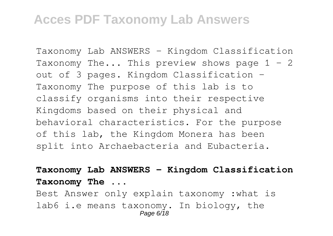Taxonomy Lab ANSWERS - Kingdom Classification Taxonomy The... This preview shows page  $1 - 2$ out of 3 pages. Kingdom Classification - Taxonomy The purpose of this lab is to classify organisms into their respective Kingdoms based on their physical and behavioral characteristics. For the purpose of this lab, the Kingdom Monera has been split into Archaebacteria and Eubacteria.

#### **Taxonomy Lab ANSWERS - Kingdom Classification Taxonomy The ...**

Best Answer only explain taxonomy :what is lab6 i.e means taxonomy. In biology, the Page 6/18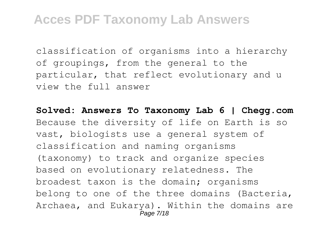classification of organisms into a hierarchy of groupings, from the general to the particular, that reflect evolutionary and u view the full answer

**Solved: Answers To Taxonomy Lab 6 | Chegg.com** Because the diversity of life on Earth is so vast, biologists use a general system of classification and naming organisms (taxonomy) to track and organize species based on evolutionary relatedness. The broadest taxon is the domain; organisms belong to one of the three domains (Bacteria, Archaea, and Eukarya). Within the domains are Page 7/18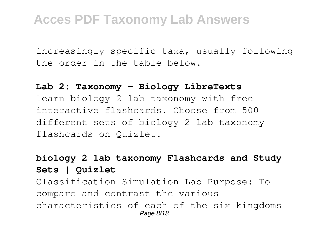increasingly specific taxa, usually following the order in the table below.

#### **Lab 2: Taxonomy - Biology LibreTexts**

Learn biology 2 lab taxonomy with free interactive flashcards. Choose from 500 different sets of biology 2 lab taxonomy flashcards on Quizlet.

#### **biology 2 lab taxonomy Flashcards and Study Sets | Quizlet**

Classification Simulation Lab Purpose: To compare and contrast the various characteristics of each of the six kingdoms Page 8/18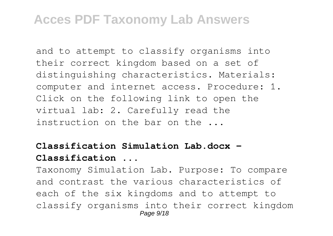and to attempt to classify organisms into their correct kingdom based on a set of distinguishing characteristics. Materials: computer and internet access. Procedure: 1. Click on the following link to open the virtual lab: 2. Carefully read the instruction on the bar on the ...

#### **Classification Simulation Lab.docx - Classification ...**

Taxonomy Simulation Lab. Purpose: To compare and contrast the various characteristics of each of the six kingdoms and to attempt to classify organisms into their correct kingdom Page 9/18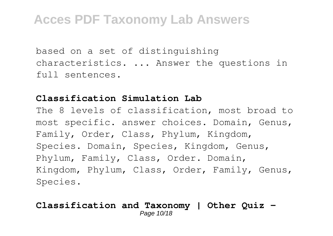based on a set of distinguishing characteristics. ... Answer the questions in full sentences.

#### **Classification Simulation Lab**

The 8 levels of classification, most broad to most specific. answer choices. Domain, Genus, Family, Order, Class, Phylum, Kingdom, Species. Domain, Species, Kingdom, Genus, Phylum, Family, Class, Order. Domain, Kingdom, Phylum, Class, Order, Family, Genus, Species.

#### **Classification and Taxonomy | Other Quiz -** Page 10/18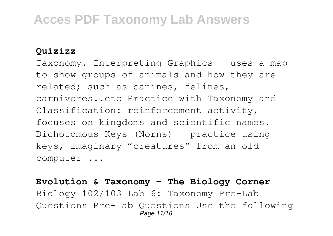#### **Quizizz**

Taxonomy. Interpreting Graphics – uses a map to show groups of animals and how they are related; such as canines, felines, carnivores..etc Practice with Taxonomy and Classification: reinforcement activity, focuses on kingdoms and scientific names. Dichotomous Keys (Norns) – practice using keys, imaginary "creatures" from an old computer ...

#### **Evolution & Taxonomy - The Biology Corner** Biology 102/103 Lab 6: Taxonomy Pre-Lab Questions Pre-Lab Questions Use the following Page 11/18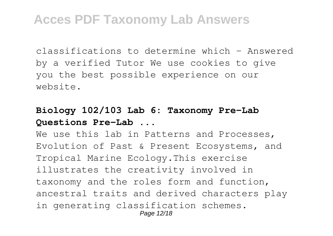classifications to determine which - Answered by a verified Tutor We use cookies to give you the best possible experience on our website.

#### **Biology 102/103 Lab 6: Taxonomy Pre-Lab Questions Pre-Lab ...**

We use this lab in Patterns and Processes, Evolution of Past & Present Ecosystems, and Tropical Marine Ecology.This exercise illustrates the creativity involved in taxonomy and the roles form and function, ancestral traits and derived characters play in generating classification schemes. Page 12/18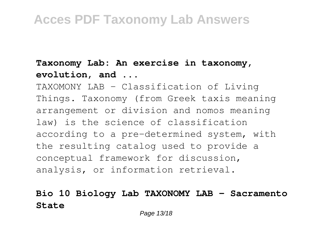#### **Taxonomy Lab: An exercise in taxonomy, evolution, and ...**

TAXOMONY LAB - Classification of Living Things. Taxonomy (from Greek taxis meaning arrangement or division and nomos meaning law) is the science of classification according to a pre-determined system, with the resulting catalog used to provide a conceptual framework for discussion, analysis, or information retrieval.

#### **Bio 10 Biology Lab TAXONOMY LAB - Sacramento State**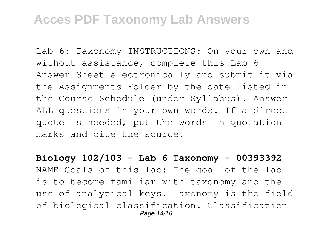Lab 6: Taxonomy INSTRUCTIONS: On your own and without assistance, complete this Lab 6 Answer Sheet electronically and submit it via the Assignments Folder by the date listed in the Course Schedule (under Syllabus). Answer ALL questions in your own words. If a direct quote is needed, put the words in quotation marks and cite the source.

**Biology 102/103 - Lab 6 Taxonomy - 00393392** NAME Goals of this lab: The goal of the lab is to become familiar with taxonomy and the use of analytical keys. Taxonomy is the field of biological classification. Classification Page 14/18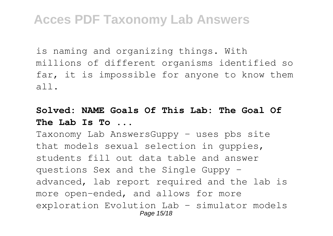is naming and organizing things. With millions of different organisms identified so far, it is impossible for anyone to know them all.

#### **Solved: NAME Goals Of This Lab: The Goal Of The Lab Is To ...**

Taxonomy Lab AnswersGuppy – uses pbs site that models sexual selection in guppies, students fill out data table and answer questions Sex and the Single Guppy – advanced, lab report required and the lab is more open-ended, and allows for more exploration Evolution Lab – simulator models Page 15/18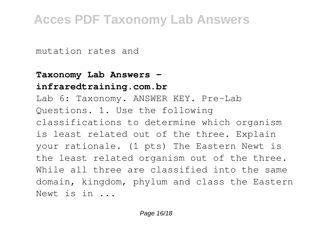mutation rates and

#### **Taxonomy Lab Answers infraredtraining.com.br**

Lab 6: Taxonomy. ANSWER KEY. Pre-Lab Questions. 1. Use the following classifications to determine which organism is least related out of the three. Explain your rationale. (1 pts) The Eastern Newt is the least related organism out of the three. While all three are classified into the same domain, kingdom, phylum and class the Eastern Newt is in ...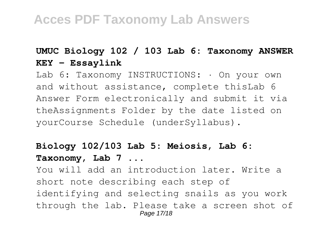#### **UMUC Biology 102 / 103 Lab 6: Taxonomy ANSWER KEY - Essaylink**

Lab 6: Taxonomy INSTRUCTIONS:  $\cdot$  On your own and without assistance, complete thisLab 6 Answer Form electronically and submit it via theAssignments Folder by the date listed on yourCourse Schedule (underSyllabus).

### **Biology 102/103 Lab 5: Meiosis, Lab 6: Taxonomy, Lab 7 ...**

You will add an introduction later. Write a short note describing each step of identifying and selecting snails as you work through the lab. Please take a screen shot of Page 17/18